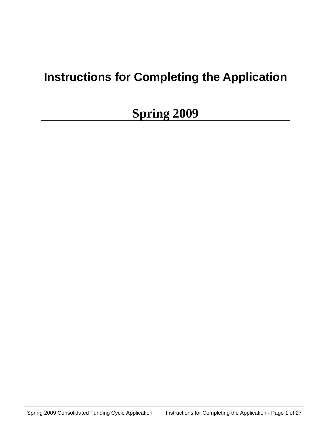# **Instructions for Completing the Application**

# **Spring 2009**

Spring 2009 Consolidated Funding Cycle Application Instructions for Completing the Application - Page 1 of 27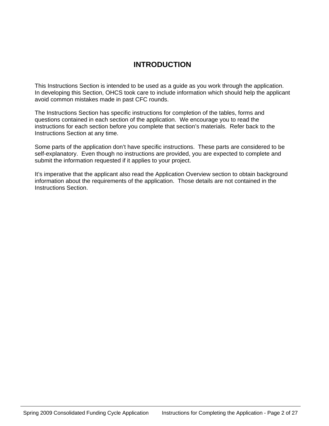# **INTRODUCTION**

This Instructions Section is intended to be used as a guide as you work through the application. In developing this Section, OHCS took care to include information which should help the applicant avoid common mistakes made in past CFC rounds.

The Instructions Section has specific instructions for completion of the tables, forms and questions contained in each section of the application. We encourage you to read the instructions for each section before you complete that section's materials. Refer back to the Instructions Section at any time.

Some parts of the application don't have specific instructions. These parts are considered to be self-explanatory. Even though no instructions are provided, you are expected to complete and submit the information requested if it applies to your project.

It's imperative that the applicant also read the Application Overview section to obtain background information about the requirements of the application. Those details are not contained in the Instructions Section.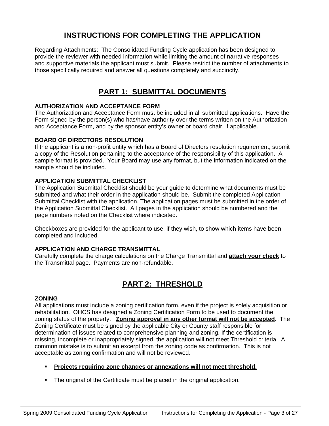# **INSTRUCTIONS FOR COMPLETING THE APPLICATION**

Regarding Attachments: The Consolidated Funding Cycle application has been designed to provide the reviewer with needed information while limiting the amount of narrative responses and supportive materials the applicant must submit. Please restrict the number of attachments to those specifically required and answer all questions completely and succinctly.

# **PART 1: SUBMITTAL DOCUMENTS**

# **AUTHORIZATION AND ACCEPTANCE FORM**

The Authorization and Acceptance Form must be included in all submitted applications. Have the Form signed by the person(s) who has/have authority over the terms written on the Authorization and Acceptance Form, and by the sponsor entity's owner or board chair, if applicable.

# **BOARD OF DIRECTORS RESOLUTION**

If the applicant is a non-profit entity which has a Board of Directors resolution requirement, submit a copy of the Resolution pertaining to the acceptance of the responsibility of this application. A sample format is provided. Your Board may use any format, but the information indicated on the sample should be included.

# **APPLICATION SUBMITTAL CHECKLIST**

The Application Submittal Checklist should be your guide to determine what documents must be submitted and what their order in the application should be. Submit the completed Application Submittal Checklist with the application. The application pages must be submitted in the order of the Application Submittal Checklist. All pages in the application should be numbered and the page numbers noted on the Checklist where indicated.

Checkboxes are provided for the applicant to use, if they wish, to show which items have been completed and included.

# **APPLICATION AND CHARGE TRANSMITTAL**

Carefully complete the charge calculations on the Charge Transmittal and **attach your check** to the Transmittal page. Payments are non-refundable.

# **PART 2: THRESHOLD**

# **ZONING**

All applications must include a zoning certification form, even if the project is solely acquisition or rehabilitation. OHCS has designed a Zoning Certification Form to be used to document the zoning status of the property. **Zoning approval in any other format will not be accepted**. The Zoning Certificate must be signed by the applicable City or County staff responsible for determination of issues related to comprehensive planning and zoning. If the certification is missing, incomplete or inappropriately signed, the application will not meet Threshold criteria. A common mistake is to submit an excerpt from the zoning code as confirmation. This is not acceptable as zoning confirmation and will not be reviewed.

- **Projects requiring zone changes or annexations will not meet threshold.**
- The original of the Certificate must be placed in the original application.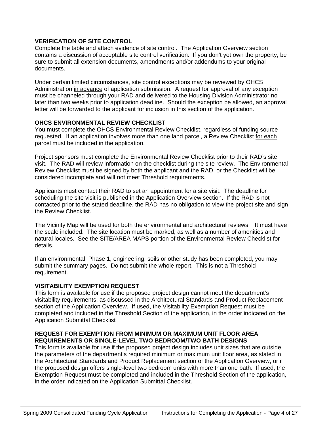# **VERIFICATION OF SITE CONTROL**

Complete the table and attach evidence of site control. The Application Overview section contains a discussion of acceptable site control verification. If you don't yet own the property, be sure to submit all extension documents, amendments and/or addendums to your original documents.

Under certain limited circumstances, site control exceptions may be reviewed by OHCS Administration in advance of application submission. A request for approval of any exception must be channeled through your RAD and delivered to the Housing Division Administrator no later than two weeks prior to application deadline. Should the exception be allowed, an approval letter will be forwarded to the applicant for inclusion in this section of the application.

# **OHCS ENVIRONMENTAL REVIEW CHECKLIST**

You must complete the OHCS Environmental Review Checklist, regardless of funding source requested. If an application involves more than one land parcel, a Review Checklist for each parcel must be included in the application.

Project sponsors must complete the Environmental Review Checklist prior to their RAD's site visit. The RAD will review information on the checklist during the site review. The Environmental Review Checklist must be signed by both the applicant and the RAD, or the Checklist will be considered incomplete and will not meet Threshold requirements.

Applicants must contact their RAD to set an appointment for a site visit. The deadline for scheduling the site visit is published in the Application Overview section. If the RAD is not contacted prior to the stated deadline, the RAD has no obligation to view the project site and sign the Review Checklist.

The Vicinity Map will be used for both the environmental and architectural reviews. It must have the scale included. The site location must be marked, as well as a number of amenities and natural locales. See the SITE/AREA MAPS portion of the Environmental Review Checklist for details.

If an environmental Phase 1, engineering, soils or other study has been completed, you may submit the summary pages. Do not submit the whole report. This is not a Threshold requirement.

# **VISITABILITY EXEMPTION REQUEST**

This form is available for use if the proposed project design cannot meet the department's visitability requirements, as discussed in the Architectural Standards and Product Replacement section of the Application Overview. If used, the Visitability Exemption Request must be completed and included in the Threshold Section of the application, in the order indicated on the Application Submittal Checklist

#### **REQUEST FOR EXEMPTION FROM MINIMUM OR MAXIMUM UNIT FLOOR AREA REQUIREMENTS OR SINGLE-LEVEL TWO BEDROOM/TWO BATH DESIGNS**

This form is available for use if the proposed project design includes unit sizes that are outside the parameters of the department's required minimum or maximum unit floor area, as stated in the Architectural Standards and Product Replacement section of the Application Overview, or if the proposed design offers single-level two bedroom units with more than one bath. If used, the Exemption Request must be completed and included in the Threshold Section of the application, in the order indicated on the Application Submittal Checklist.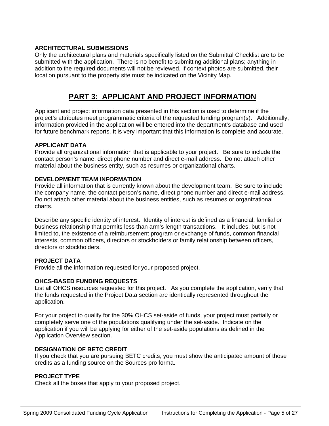# **ARCHITECTURAL SUBMISSIONS**

Only the architectural plans and materials specifically listed on the Submittal Checklist are to be submitted with the application. There is no benefit to submitting additional plans; anything in addition to the required documents will not be reviewed. If context photos are submitted, their location pursuant to the property site must be indicated on the Vicinity Map.

# **PART 3: APPLICANT AND PROJECT INFORMATION**

Applicant and project information data presented in this section is used to determine if the project's attributes meet programmatic criteria of the requested funding program(s). Additionally, information provided in the application will be entered into the department's database and used for future benchmark reports. It is very important that this information is complete and accurate.

# **APPLICANT DATA**

Provide all organizational information that is applicable to your project. Be sure to include the contact person's name, direct phone number and direct e-mail address. Do not attach other material about the business entity, such as resumes or organizational charts.

# **DEVELOPMENT TEAM INFORMATION**

Provide all information that is currently known about the development team. Be sure to include the company name, the contact person's name, direct phone number and direct e-mail address. Do not attach other material about the business entities, such as resumes or organizational charts.

Describe any specific identity of interest. Identity of interest is defined as a financial, familial or business relationship that permits less than arm's length transactions. It includes, but is not limited to, the existence of a reimbursement program or exchange of funds, common financial interests, common officers, directors or stockholders or family relationship between officers, directors or stockholders.

# **PROJECT DATA**

Provide all the information requested for your proposed project.

# **OHCS-BASED FUNDING REQUESTS**

List all OHCS resources requested for this project. As you complete the application, verify that the funds requested in the Project Data section are identically represented throughout the application.

For your project to qualify for the 30% OHCS set-aside of funds, your project must partially or completely serve one of the populations qualifying under the set-aside. Indicate on the application if you will be applying for either of the set-aside populations as defined in the Application Overview section.

# **DESIGNATION OF BETC CREDIT**

If you check that you are pursuing BETC credits, you must show the anticipated amount of those credits as a funding source on the Sources pro forma.

# **PROJECT TYPE**

Check all the boxes that apply to your proposed project.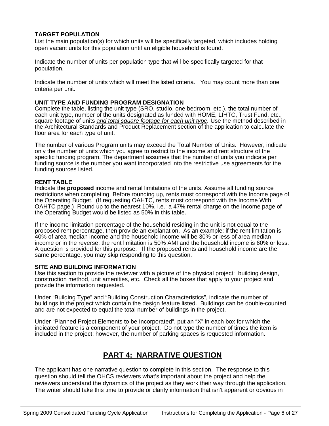# **TARGET POPULATION**

List the main population(s) for which units will be specifically targeted, which includes holding open vacant units for this population until an eligible household is found.

Indicate the number of units per population type that will be specifically targeted for that population.

Indicate the number of units which will meet the listed criteria. You may count more than one criteria per unit.

#### **UNIT TYPE AND FUNDING PROGRAM DESIGNATION**

Complete the table, listing the unit type (SRO, studio, one bedroom, etc.), the total number of each unit type, number of the units designated as funded with HOME, LIHTC, Trust Fund, etc., square footage of units *and total square footage for each unit type.* Use the method described in the Architectural Standards and Product Replacement section of the application to calculate the floor area for each type of unit.

The number of various Program units may exceed the Total Number of Units. However, indicate only the number of units which you agree to restrict to the income and rent structure of the specific funding program. The department assumes that the number of units you indicate per funding source is the number you want incorporated into the restrictive use agreements for the funding sources listed.

#### **RENT TABLE**

Indicate the **proposed** income and rental limitations of the units. Assume all funding source restrictions when completing. Before rounding up, rents must correspond with the Income page of the Operating Budget. (If requesting OAHTC, rents must correspond with the Income With OAHTC page.) Round up to the nearest 10%, i.e.: a 47% rental charge on the Income page of the Operating Budget would be listed as 50% in this table.

If the income limitation percentage of the household residing in the unit is not equal to the proposed rent percentage, then provide an explanation. As an example: if the rent limitation is 40% of area median income and the household income will be 30% or less of area median income or in the reverse, the rent limitation is 50% AMI and the household income is 60% or less. A question is provided for this purpose. If the proposed rents and household income are the same percentage, you may skip responding to this question.

#### **SITE AND BUILDING INFORMATION**

Use this section to provide the reviewer with a picture of the physical project: building design, construction method, unit amenities, etc. Check all the boxes that apply to your project and provide the information requested.

Under "Building Type" and "Building Construction Characteristics", indicate the number of buildings in the project which contain the design feature listed. Buildings can be double-counted and are not expected to equal the total number of buildings in the project.

Under "Planned Project Elements to be Incorporated", put an "X" in each box for which the indicated feature is a component of your project. Do not type the number of times the item is included in the project; however, the number of parking spaces is requested information.

# **PART 4: NARRATIVE QUESTION**

The applicant has one narrative question to complete in this section. The response to this question should tell the OHCS reviewers what's important about the project and help the reviewers understand the dynamics of the project as they work their way through the application. The writer should take this time to provide or clarify information that isn't apparent or obvious in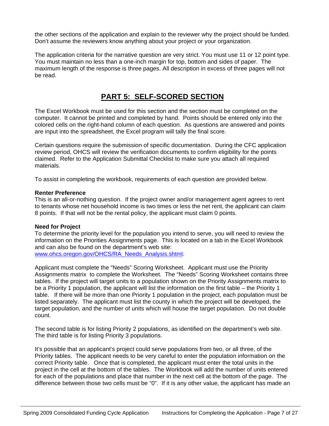the other sections of the application and explain to the reviewer why the project should be funded. Don't assume the reviewers know anything about your project or your organization.

The application criteria for the narrative question are very strict. You must use 11 or 12 point type. You must maintain no less than a one-inch margin for top, bottom and sides of paper. The maximum length of the response is three pages. All description in excess of three pages will not be read.

# **PART 5: SELF-SCORED SECTION**

The Excel Workbook must be used for this section and the section must be completed on the computer. It cannot be printed and completed by hand. Points should be entered only into the colored cells on the right-hand column of each question. As questions are answered and points are input into the spreadsheet, the Excel program will tally the final score.

Certain questions require the submission of specific documentation. During the CFC application review period, OHCS will review the verification documents to confirm eligibility for the points claimed. Refer to the Application Submittal Checklist to make sure you attach all required materials.

To assist in completing the workbook, requirements of each question are provided below.

#### **Renter Preference**

This is an all-or-nothing question. If the project owner and/or management agent agrees to rent to tenants whose net household income is two times or less the net rent, the applicant can claim 8 points. If that will not be the rental policy, the applicant must claim 0 points.

# **Need for Project**

To determine the priority level for the population you intend to serve, you will need to review the information on the Priorities Assignments page. This is located on a tab in the Excel Workbook and can also be found on the department's web site: [www.ohcs.oregon.gov/OHCS/RA\\_Needs\\_Analysis.shtml](http://www.ohcs.oregon.gov/OHCS/RA_Needs_Analysis.shtml).

Applicant must complete the "Needs" Scoring Worksheet. Applicant must use the Priority Assignments matrix to complete the Worksheet. The "Needs" Scoring Worksheet contains three tables. If the project will target units to a population shown on the Priority Assignments matrix to be a Priority 1 population, the applicant will list the information on the first table – the Priority 1 table. If there will be more than one Priority 1 population in the project, each population must be listed separately. The applicant must list the county in which the project will be developed, the target population, and the number of units which will house the target population. Do not double count.

The second table is for listing Priority 2 populations, as identified on the department's web site. The third table is for listing Priority 3 populations.

It's possible that an applicant's project could serve populations from two, or all three, of the Priority tables. The applicant needs to be very careful to enter the population information on the correct Priority table. Once that is completed, the applicant must enter the total units in the project in the cell at the bottom of the tables. The Workbook will add the number of units entered for each of the populations and place that number in the next cell at the bottom of the page. The difference between those two cells must be "0". If it is any other value, the applicant has made an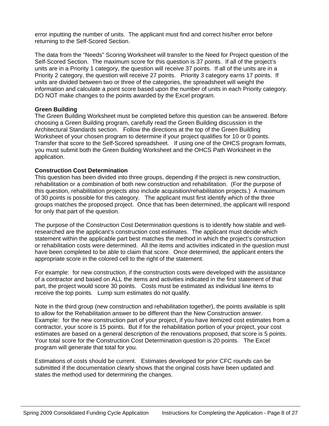error inputting the number of units. The applicant must find and correct his/her error before returning to the Self-Scored Section.

The data from the "Needs" Scoring Worksheet will transfer to the Need for Project question of the Self-Scored Section. The maximum score for this question is 37 points. If all of the project's units are in a Priority 1 category, the question will receive 37 points. If all of the units are in a Priority 2 category, the question will receive 27 points. Priority 3 category earns 17 points. If units are divided between two or three of the categories, the spreadsheet will weight the information and calculate a point score based upon the number of units in each Priority category. DO NOT make changes to the points awarded by the Excel program.

#### **Green Building**

The Green Building Worksheet must be completed before this question can be answered. Before choosing a Green Building program, carefully read the Green Building discussion in the Architectural Standards section. Follow the directions at the top of the Green Building Worksheet of your chosen program to determine if your project qualifies for 10 or 0 points. Transfer that score to the Self-Scored spreadsheet. If using one of the OHCS program formats, you must submit both the Green Building Worksheet and the OHCS Path Worksheet in the application.

#### **Construction Cost Determination**

This question has been divided into three groups, depending if the project is new construction, rehabilitation or a combination of both new construction and rehabilitation. (For the purpose of this question, rehabilitation projects also include acquisition/rehabilitation projects.) A maximum of 30 points is possible for this category. The applicant must first identify which of the three groups matches the proposed project. Once that has been determined, the applicant will respond for only that part of the question.

The purpose of the Construction Cost Determination questions is to identify how stable and wellresearched are the applicant's construction cost estimates. The applicant must decide which statement within the applicable part best matches the method in which the project's construction or rehabilitation costs were determined. All the items and activities indicated in the question must have been completed to be able to claim that score. Once determined, the applicant enters the appropriate score in the colored cell to the right of the statement.

For example: for new construction, if the construction costs were developed with the assistance of a contractor and based on ALL the items and activities indicated in the first statement of that part, the project would score 30 points. Costs must be estimated as individual line items to receive the top points. Lump sum estimates do not qualify.

Note in the third group (new construction and rehabilitation together), the points available is split to allow for the Rehabilitation answer to be different than the New Construction answer. Example: for the new construction part of your project, if you have itemized cost estimates from a contractor, your score is 15 points. But if for the rehabilitation portion of your project, your cost estimates are based on a general description of the renovations proposed, that score is 5 points. Your total score for the Construction Cost Determination question is 20 points. The Excel program will generate that total for you.

Estimations of costs should be current. Estimates developed for prior CFC rounds can be submitted if the documentation clearly shows that the original costs have been updated and states the method used for determining the changes.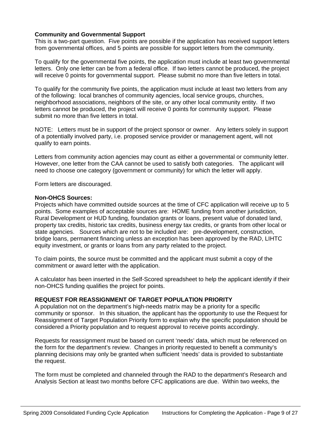# **Community and Governmental Support**

This is a two-part question. Five points are possible if the application has received support letters from governmental offices, and 5 points are possible for support letters from the community.

To qualify for the governmental five points, the application must include at least two governmental letters. Only one letter can be from a federal office. If two letters cannot be produced, the project will receive 0 points for governmental support. Please submit no more than five letters in total.

To qualify for the community five points, the application must include at least two letters from any of the following: local branches of community agencies, local service groups, churches, neighborhood associations, neighbors of the site, or any other local community entity. If two letters cannot be produced, the project will receive 0 points for community support. Please submit no more than five letters in total.

NOTE: Letters must be in support of the project sponsor or owner. Any letters solely in support of a potentially involved party, i.e. proposed service provider or management agent, will not qualify to earn points.

Letters from community action agencies may count as either a governmental or community letter. However, one letter from the CAA cannot be used to satisfy both categories. The applicant will need to choose one category (government or community) for which the letter will apply.

Form letters are discouraged.

#### **Non-OHCS Sources:**

Projects which have committed outside sources at the time of CFC application will receive up to 5 points. Some examples of acceptable sources are: HOME funding from another jurisdiction, Rural Development or HUD funding, foundation grants or loans, present value of donated land, property tax credits, historic tax credits, business energy tax credits, or grants from other local or state agencies. Sources which are not to be included are: pre-development, construction, bridge loans, permanent financing unless an exception has been approved by the RAD, LIHTC equity investment, or grants or loans from any party related to the project.

To claim points, the source must be committed and the applicant must submit a copy of the commitment or award letter with the application.

A calculator has been inserted in the Self-Scored spreadsheet to help the applicant identify if their non-OHCS funding qualifies the project for points.

# **REQUEST FOR REASSIGNMENT OF TARGET POPULATION PRIORITY**

A population not on the department's high-needs matrix may be a priority for a specific community or sponsor. In this situation, the applicant has the opportunity to use the Request for Reassignment of Target Population Priority form to explain why the specific population should be considered a Priority population and to request approval to receive points accordingly.

Requests for reassignment must be based on current 'needs' data, which must be referenced on the form for the department's review. Changes in priority requested to benefit a community's planning decisions may only be granted when sufficient 'needs' data is provided to substantiate the request.

The form must be completed and channeled through the RAD to the department's Research and Analysis Section at least two months before CFC applications are due. Within two weeks, the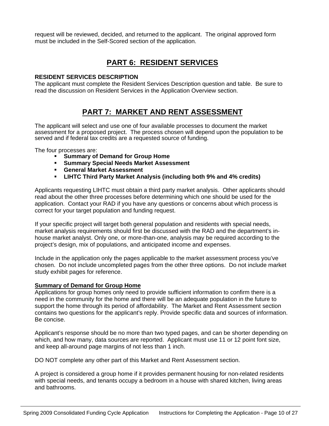request will be reviewed, decided, and returned to the applicant. The original approved form must be included in the Self-Scored section of the application.

# **PART 6: RESIDENT SERVICES**

# **RESIDENT SERVICES DESCRIPTION**

The applicant must complete the Resident Services Description question and table. Be sure to read the discussion on Resident Services in the Application Overview section.

# **PART 7: MARKET AND RENT ASSESSMENT**

The applicant will select and use one of four available processes to document the market assessment for a proposed project. The process chosen will depend upon the population to be served and if federal tax credits are a requested source of funding.

The four processes are:

- **Summary of Demand for Group Home**
- **Summary Special Needs Market Assessment**
- **General Market Assessment**
- **LIHTC Third Party Market Analysis (including both 9% and 4% credits)**

Applicants requesting LIHTC must obtain a third party market analysis. Other applicants should read about the other three processes before determining which one should be used for the application. Contact your RAD if you have any questions or concerns about which process is correct for your target population and funding request.

If your specific project will target both general population and residents with special needs, market analysis requirements should first be discussed with the RAD and the department's inhouse market analyst. Only one, or more-than-one, analysis may be required according to the project's design, mix of populations, and anticipated income and expenses.

Include in the application only the pages applicable to the market assessment process you've chosen. Do not include uncompleted pages from the other three options. Do not include market study exhibit pages for reference.

# **Summary of Demand for Group Home**

Applications for group homes only need to provide sufficient information to confirm there is a need in the community for the home and there will be an adequate population in the future to support the home through its period of affordability. The Market and Rent Assessment section contains two questions for the applicant's reply. Provide specific data and sources of information. Be concise.

Applicant's response should be no more than two typed pages, and can be shorter depending on which, and how many, data sources are reported. Applicant must use 11 or 12 point font size, and keep all-around page margins of not less than 1 inch.

DO NOT complete any other part of this Market and Rent Assessment section.

A project is considered a group home if it provides permanent housing for non-related residents with special needs, and tenants occupy a bedroom in a house with shared kitchen, living areas and bathrooms.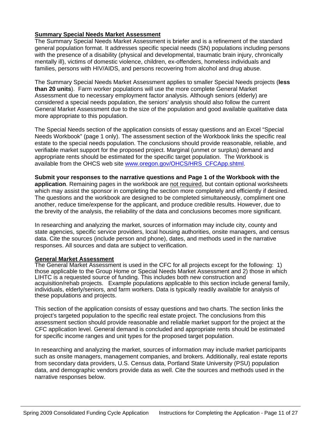# **Summary Special Needs Market Assessment**

The Summary Special Needs Market Assessment is briefer and is a refinement of the standard general population format. It addresses specific special needs (SN) populations including persons with the presence of a disability (physical and developmental, traumatic brain injury, chronically mentally ill), victims of domestic violence, children, ex-offenders, homeless individuals and families, persons with HIV/AIDS, and persons recovering from alcohol and drug abuse.

The Summary Special Needs Market Assessment applies to smaller Special Needs projects (**less than 20 units**). Farm worker populations will use the more complete General Market Assessment due to necessary employment factor analysis. Although seniors (elderly) are considered a special needs population, the seniors' analysis should also follow the current General Market Assessment due to the size of the population and good available qualitative data more appropriate to this population.

The Special Needs section of the application consists of essay questions and an Excel "Special Needs Workbook" (page 1 only). The assessment section of the Workbook links the specific real estate to the special needs population. The conclusions should provide reasonable, reliable, and verifiable market support for the proposed project. Marginal (unmet or surplus) demand and appropriate rents should be estimated for the specific target population. The Workbook is available from the OHCS web site [www.oregon.gov/OHCS/HRS\\_CFCApp.shtml.](http://www.oregon.gov/OHCS/HRS_CFCApp.shtml)

**Submit your responses to the narrative questions and Page 1 of the Workbook with the application**. Remaining pages in the workbook are not required, but contain optional worksheets which may assist the sponsor in completing the section more completely and efficiently if desired. The questions and the workbook are designed to be completed simultaneously, compliment one another, reduce time/expense for the applicant, and produce credible results. However, due to the brevity of the analysis, the reliability of the data and conclusions becomes more significant.

In researching and analyzing the market, sources of information may include city, county and state agencies, specific service providers, local housing authorities, onsite managers, and census data. Cite the sources (include person and phone), dates, and methods used in the narrative responses. All sources and data are subject to verification.

#### **General Market Assessment**

The General Market Assessment is used in the CFC for all projects except for the following: 1) those applicable to the Group Home or Special Needs Market Assessment and 2) those in which LIHTC is a requested source of funding. This includes both new construction and acquisition/rehab projects. Example populations applicable to this section include general family, individuals, elderly/seniors, and farm workers. Data is typically readily available for analysis of these populations and projects.

This section of the application consists of essay questions and two charts. The section links the project's targeted population to the specific real estate project. The conclusions from this assessment section should provide reasonable and reliable market support for the project at the CFC application level. General demand is concluded and appropriate rents should be estimated for specific income ranges and unit types for the proposed target population.

In researching and analyzing the market, sources of information may include market participants such as onsite managers, management companies, and brokers. Additionally, real estate reports from secondary data providers, U.S. Census data, Portland State University (PSU) population data, and demographic vendors provide data as well. Cite the sources and methods used in the narrative responses below.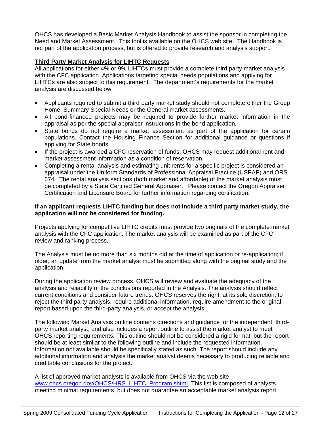OHCS has developed a Basic Market Analysis Handbook to assist the sponsor in completing the Need and Market Assessment. This tool is available on the OHCS web site. The Handbook is not part of the application process, but is offered to provide research and analysis support.

# **Third Party Market Analysis for LIHTC Requests**

All applications for either 4% or 9% LIHTCs must provide a complete third party market analysis with the CFC application. Applications targeting special needs populations and applying for LIHTCs are also subject to this requirement. The department's requirements for the market analysis are discussed below.

- Applicants required to submit a third party market study should not complete either the Group Home, Summary Special Needs or the General market assessments.
- All bond-financed projects may be required to provide further market information in the appraisal as per the special appraiser instructions in the bond application.
- State bonds do not require a market assessment as part of the application for certain populations. Contact the Housing Finance Section for additional guidance or questions if applying for State bonds.
- If the project is awarded a CFC reservation of funds, OHCS may request additional rent and market assessment information as a condition of reservation.
- Completing a rental analysis and estimating unit rents for a specific project is considered an appraisal under the Uniform Standards of Professional Appraisal Practice (USPAP) and ORS 674. The rental analysis sections (both market and affordable) of the market analysis must be completed by a State Certified General Appraiser. Please contact the Oregon Appraiser Certification and Licensure Board for further information regarding certification.

# **If an applicant requests LIHTC funding but does not include a third party market study, the application will not be considered for funding.**

Projects applying for competitive LIHTC credits must provide two originals of the complete market analysis with the CFC application. The market analysis will be examined as part of the CFC review and ranking process.

The Analysis must be no more than six months old at the time of application or re-application; if older, an update from the market analyst must be submitted along with the original study and the application.

During the application review process, OHCS will review and evaluate the adequacy of the analysis and reliability of the conclusions reported in the Analysis. The analysis should reflect current conditions and consider future trends. OHCS reserves the right, at its sole discretion, to reject the third party analysis, require additional information, require amendment to the original report based upon the third-party analysis, or accept the analysis.

The following Market Analysis outline contains directions and guidance for the independent, thirdparty market analyst, and also includes a report outline to assist the market analyst to meet OHCS reporting requirements. This outline should not be considered a rigid format, but the report should be at least similar to the following outline and include the requested information. Information not available should be specifically stated as such. The report should include any additional information and analysis the market analyst deems necessary to producing reliable and creditable conclusions for the project.

A list of approved market analysts is available from OHCS via the web site [www.ohcs.oregon.gov/OHCS/HRS\\_LIHTC\\_Program.shtml.](http://www.ohcs.oregon.gov/OHCS/HRS_LIHTC_Program.shtml) This list is composed of analysts meeting minimal requirements, but does not guarantee an acceptable market analysis report.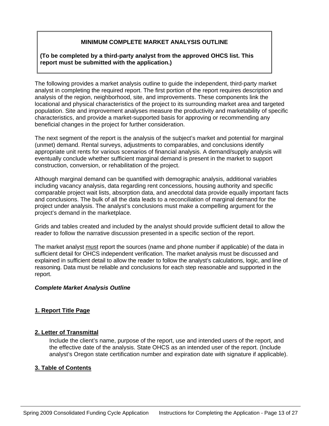# **MINIMUM COMPLETE MARKET ANALYSIS OUTLINE**

# **(To be completed by a third-party analyst from the approved OHCS list. This report must be submitted with the application.)**

The following provides a market analysis outline to guide the independent, third-party market analyst in completing the required report. The first portion of the report requires description and analysis of the region, neighborhood, site, and improvements. These components link the locational and physical characteristics of the project to its surrounding market area and targeted population. Site and improvement analyses measure the productivity and marketability of specific characteristics, and provide a market-supported basis for approving or recommending any beneficial changes in the project for further consideration.

The next segment of the report is the analysis of the subject's market and potential for marginal (unmet) demand. Rental surveys, adjustments to comparables, and conclusions identify appropriate unit rents for various scenarios of financial analysis. A demand/supply analysis will eventually conclude whether sufficient marginal demand is present in the market to support construction, conversion, or rehabilitation of the project.

Although marginal demand can be quantified with demographic analysis, additional variables including vacancy analysis, data regarding rent concessions, housing authority and specific comparable project wait lists, absorption data, and anecdotal data provide equally important facts and conclusions. The bulk of all the data leads to a reconciliation of marginal demand for the project under analysis. The analyst's conclusions must make a compelling argument for the project's demand in the marketplace.

Grids and tables created and included by the analyst should provide sufficient detail to allow the reader to follow the narrative discussion presented in a specific section of the report.

The market analyst must report the sources (name and phone number if applicable) of the data in sufficient detail for OHCS independent verification. The market analysis must be discussed and explained in sufficient detail to allow the reader to follow the analyst's calculations, logic, and line of reasoning. Data must be reliable and conclusions for each step reasonable and supported in the report.

# *Complete Market Analysis Outline*

# **1. Report Title Page**

# **2. Letter of Transmittal**

Include the client's name, purpose of the report, use and intended users of the report, and the effective date of the analysis. State OHCS as an intended user of the report. (Include analyst's Oregon state certification number and expiration date with signature if applicable).

# **3. Table of Contents**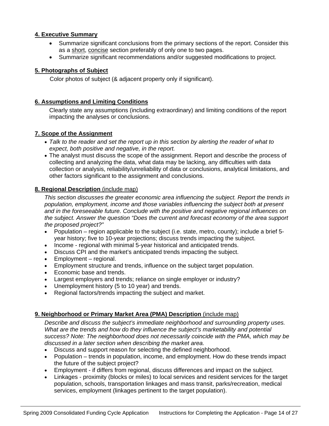# **4. Executive Summary**

- Summarize significant conclusions from the primary sections of the report. Consider this as a short, concise section preferably of only one to two pages.
- Summarize significant recommendations and/or suggested modifications to project.

# **5. Photographs of Subject**

Color photos of subject (& adjacent property only if significant).

### **6. Assumptions and Limiting Conditions**

Clearly state any assumptions (including extraordinary) and limiting conditions of the report impacting the analyses or conclusions.

#### **7. Scope of the Assignment**

- *Talk to the reader and set the report up in this section by alerting the reader of what to expect, both positive and negative, in the report.*
- The analyst must discuss the scope of the assignment. Report and describe the process of collecting and analyzing the data, what data may be lacking, any difficulties with data collection or analysis, reliability/unreliability of data or conclusions, analytical limitations, and other factors significant to the assignment and conclusions.

#### **8. Regional Description** (include map)

*This section discusses the greater economic area influencing the subject. Report the trends in population, employment, income and those variables influencing the subject both at present and in the foreseeable future. Conclude with the positive and negative regional influences on the subject. Answer the question "Does the current and forecast economy of the area support the proposed project?"*

- Population region applicable to the subject (i.e. state, metro, county); include a brief 5 year history; five to 10-year projections; discuss trends impacting the subject.
- Income regional with minimal 5-year historical and anticipated trends.
- Discuss CPI and the market's anticipated trends impacting the subject.
- Employment regional.
- Employment structure and trends, influence on the subject target population.
- Economic base and trends.
- Largest employers and trends; reliance on single employer or industry?
- Unemployment history (5 to 10 year) and trends.
- Regional factors/trends impacting the subject and market.

#### **9. Neighborhood or Primary Market Area (PMA) Description** (include map)

*Describe and discuss the subject's immediate neighborhood and surrounding property uses. What are the trends and how do they influence the subject's marketability and potential success? Note: The neighborhood does not necessarily coincide with the PMA, which may be discussed in a later section when describing the market area.* 

- Discuss and support reason for selecting the defined neighborhood.
- Population trends in population, income, and employment. How do these trends impact the future of the subject project?
- Employment if differs from regional, discuss differences and impact on the subject.
- Linkages proximity (blocks or miles) to local services and resident services for the target population, schools, transportation linkages and mass transit, parks/recreation, medical services, employment (linkages pertinent to the target population).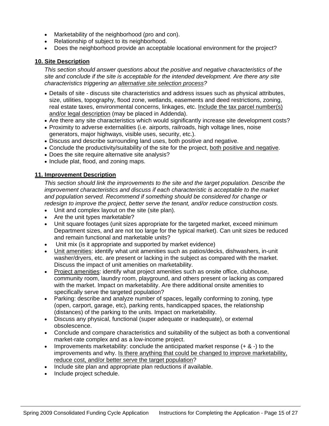- Marketability of the neighborhood (pro and con).
- Relationship of subject to its neighborhood.
- Does the neighborhood provide an acceptable locational environment for the project?

# **10. Site Description**

*This section should answer questions about the positive and negative characteristics of the site and conclude if the site is acceptable for the intended development. Are there any site characteristics triggering an alternative site selection process?* 

- Details of site discuss site characteristics and address issues such as physical attributes, size, utilities, topography, flood zone, wetlands, easements and deed restrictions, zoning, real estate taxes, environmental concerns, linkages, etc. Include the tax parcel number(s) and/or legal description (may be placed in Addenda).
- Are there any site characteristics which would significantly increase site development costs?
- Proximity to adverse externalities (i.e. airports, railroads, high voltage lines, noise generators, major highways, visible uses, security, etc.).
- Discuss and describe surrounding land uses, both positive and negative.
- Conclude the productivity/suitability of the site for the project, both positive and negative.
- Does the site require alternative site analysis?
- Include plat, flood, and zoning maps.

# **11. Improvement Description**

*This section should link the improvements to the site and the target population. Describe the improvement characteristics and discuss if each characteristic is acceptable to the market and population served. Recommend if something should be considered for change or redesign to improve the project, better serve the tenant, and/or reduce construction costs.* 

- Unit and complex layout on the site (site plan).
- Are the unit types marketable?
- Unit square footages (unit sizes appropriate for the targeted market, exceed minimum Department sizes, and are not too large for the typical market). Can unit sizes be reduced and remain functional and marketable units?
- Unit mix (is it appropriate and supported by market evidence)
- Unit amenities: identify what unit amenities such as patios/decks, dishwashers, in-unit washer/dryers, etc. are present or lacking in the subject as compared with the market. Discuss the impact of unit amenities on marketability.
- Project amenities: identify what project amenities such as onsite office, clubhouse, community room, laundry room, playground, and others present or lacking as compared with the market. Impact on marketability. Are there additional onsite amenities to specifically serve the targeted population?
- Parking: describe and analyze number of spaces, legally conforming to zoning, type (open, carport, garage, etc), parking rents, handicapped spaces, the relationship (distances) of the parking to the units. Impact on marketability.
- Discuss any physical, functional (super adequate or inadequate), or external obsolescence.
- Conclude and compare characteristics and suitability of the subject as both a conventional market-rate complex and as a low-income project.
- Improvements marketability: conclude the anticipated market response (+ & -) to the improvements and why. Is there anything that could be changed to improve marketability, reduce cost, and/or better serve the target population?
- Include site plan and appropriate plan reductions if available.
- Include project schedule.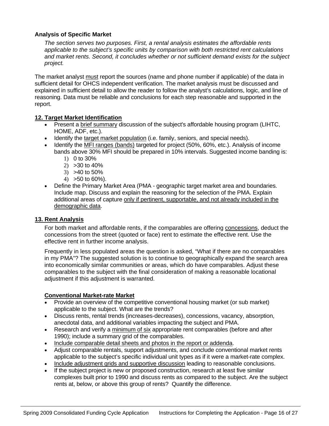# **Analysis of Specific Market**

*The section serves two purposes. First, a rental analysis estimates the affordable rents applicable to the subject's specific units by comparison with both restricted rent calculations and market rents. Second, it concludes whether or not sufficient demand exists for the subject project.* 

The market analyst must report the sources (name and phone number if applicable) of the data in sufficient detail for OHCS independent verification. The market analysis must be discussed and explained in sufficient detail to allow the reader to follow the analyst's calculations, logic, and line of reasoning. Data must be reliable and conclusions for each step reasonable and supported in the report.

# **12. Target Market Identification**

- Present a brief summary discussion of the subject's affordable housing program (LIHTC, HOME, ADF, etc.).
- Identify the target market population (i.e. family, seniors, and special needs).
- Identify the MFI ranges (bands) targeted for project (50%, 60%, etc.). Analysis of income bands above 30% MFI should be prepared in 10% intervals. Suggested income banding is:
	- 1) 0 to 30%
	- 2) >30 to 40%
	- 3) >40 to 50%
	- $(4)$  > 50 to 60%).
- Define the Primary Market Area (PMA geographic target market area and boundaries. Include map. Discuss and explain the reasoning for the selection of the PMA. Explain additional areas of capture only if pertinent, supportable, and not already included in the demographic data.

# **13. Rent Analysis**

For both market and affordable rents, if the comparables are offering concessions, deduct the concessions from the street (quoted or face) rent to estimate the effective rent. Use the effective rent in further income analysis.

Frequently in less populated areas the question is asked, "What if there are no comparables in my PMA"? The suggested solution is to continue to geographically expand the search area into economically similar communities or areas, which do have comparables. Adjust these comparables to the subject with the final consideration of making a reasonable locational adjustment if this adjustment is warranted.

# **Conventional Market-rate Market**

- Provide an overview of the competitive conventional housing market (or sub market) applicable to the subject. What are the trends?
- Discuss rents, rental trends (increases-decreases), concessions, vacancy, absorption, anecdotal data, and additional variables impacting the subject and PMA.
- Research and verify a minimum of six appropriate rent comparables (before and after 1990); include a summary grid of the comparables.
- Include comparable detail sheets and photos in the report or addenda.
- Adjust comparable rentals, support adjustments, and conclude conventional market rents applicable to the subject's specific individual unit types as if it were a market-rate complex.
- Include adjustment grids and supportive discussion leading to reasonable conclusions.
- If the subject project is new or proposed construction, research at least five similar complexes built prior to 1990 and discuss rents as compared to the subject. Are the subject rents at, below, or above this group of rents? Quantify the difference.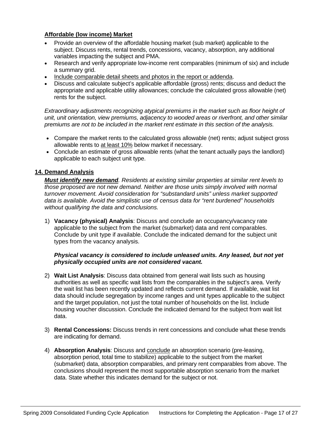# **Affordable (low income) Market**

- Provide an overview of the affordable housing market (sub market) applicable to the subject. Discuss rents, rental trends, concessions, vacancy, absorption, any additional variables impacting the subject and PMA.
- Research and verify appropriate low-income rent comparables (minimum of six) and include a summary grid.
- Include comparable detail sheets and photos in the report or addenda.
- Discuss and calculate subject's applicable affordable (gross) rents; discuss and deduct the appropriate and applicable utility allowances; conclude the calculated gross allowable (net) rents for the subject.

*Extraordinary adjustments recognizing atypical premiums in the market such as floor height of unit, unit orientation, view premiums, adjacency to wooded areas or riverfront, and other similar premiums are not to be included in the market rent estimate in this section of the analysis.* 

- Compare the market rents to the calculated gross allowable (net) rents; adjust subject gross allowable rents to at least 10% below market if necessary.
- Conclude an estimate of gross allowable rents (what the tenant actually pays the landlord) applicable to each subject unit type.

# **14. Demand Analysis**

*Must identify new demand. Residents at existing similar properties at similar rent levels to those proposed are not new demand. Neither are those units simply involved with normal turnover movement. Avoid consideration for "substandard units" unless market supported data is available. Avoid the simplistic use of census data for "rent burdened" households without qualifying the data and conclusions.* 

1) **Vacancy (physical) Analysis**: Discuss and conclude an occupancy/vacancy rate applicable to the subject from the market (submarket) data and rent comparables. Conclude by unit type if available. Conclude the indicated demand for the subject unit types from the vacancy analysis.

# *Physical vacancy is considered to include unleased units. Any leased, but not yet physically occupied units are not considered vacant.*

- 2) **Wait List Analysis**: Discuss data obtained from general wait lists such as housing authorities as well as specific wait lists from the comparables in the subject's area. Verify the wait list has been recently updated and reflects current demand. If available, wait list data should include segregation by income ranges and unit types applicable to the subject and the target population, not just the total number of households on the list. Include housing voucher discussion. Conclude the indicated demand for the subject from wait list data.
- 3) **Rental Concessions:** Discuss trends in rent concessions and conclude what these trends are indicating for demand.
- 4) **Absorption Analysis**: Discuss and conclude an absorption scenario (pre-leasing, absorption period, total time to stabilize) applicable to the subject from the market (submarket) data, absorption comparables, and primary rent comparables from above. The conclusions should represent the most supportable absorption scenario from the market data. State whether this indicates demand for the subject or not.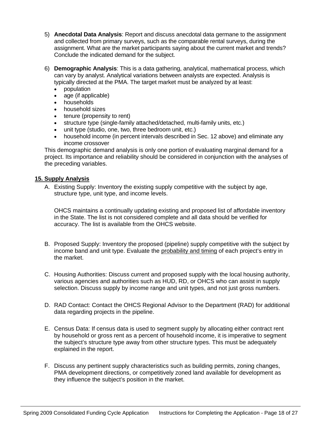- 5) **Anecdotal Data Analysis**: Report and discuss anecdotal data germane to the assignment and collected from primary surveys, such as the comparable rental surveys, during the assignment. What are the market participants saying about the current market and trends? Conclude the indicated demand for the subject.
- 6) **Demographic Analysis**: This is a data gathering, analytical, mathematical process, which can vary by analyst. Analytical variations between analysts are expected. Analysis is typically directed at the PMA. The target market must be analyzed by at least:
	- population
	- age (if applicable)
	- households
	- household sizes
	- tenure (propensity to rent)
	- structure type (single-family attached/detached, multi-family units, etc.)
	- unit type (studio, one, two, three bedroom unit, etc.)
	- household income (in percent intervals described in Sec. 12 above) and eliminate any income crossover

This demographic demand analysis is only one portion of evaluating marginal demand for a project. Its importance and reliability should be considered in conjunction with the analyses of the preceding variables.

# **15. Supply Analysis**

A. Existing Supply: Inventory the existing supply competitive with the subject by age, structure type, unit type, and income levels.

OHCS maintains a continually updating existing and proposed list of affordable inventory in the State. The list is not considered complete and all data should be verified for accuracy. The list is available from the OHCS website.

- B. Proposed Supply: Inventory the proposed (pipeline) supply competitive with the subject by income band and unit type. Evaluate the probability and timing of each project's entry in the market.
- C. Housing Authorities: Discuss current and proposed supply with the local housing authority, various agencies and authorities such as HUD, RD, or OHCS who can assist in supply selection. Discuss supply by income range and unit types, and not just gross numbers.
- D. RAD Contact: Contact the OHCS Regional Advisor to the Department (RAD) for additional data regarding projects in the pipeline.
- E. Census Data: If census data is used to segment supply by allocating either contract rent by household or gross rent as a percent of household income, it is imperative to segment the subject's structure type away from other structure types. This must be adequately explained in the report.
- F. Discuss any pertinent supply characteristics such as building permits, zoning changes, PMA development directions, or competitively zoned land available for development as they influence the subject's position in the market.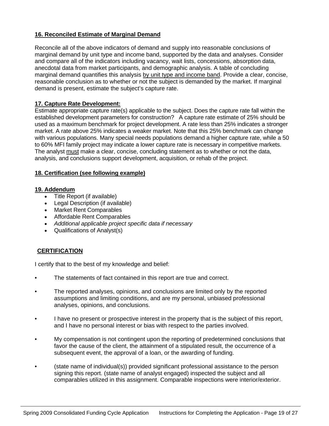# **16. Reconciled Estimate of Marginal Demand**

Reconcile all of the above indicators of demand and supply into reasonable conclusions of marginal demand by unit type and income band, supported by the data and analyses. Consider and compare all of the indicators including vacancy, wait lists, concessions, absorption data, anecdotal data from market participants, and demographic analysis. A table of concluding marginal demand quantifies this analysis by unit type and income band. Provide a clear, concise, reasonable conclusion as to whether or not the subject is demanded by the market. If marginal demand is present, estimate the subject's capture rate.

# **17. Capture Rate Development:**

Estimate appropriate capture rate(s) applicable to the subject. Does the capture rate fall within the established development parameters for construction? A capture rate estimate of 25% should be used as a maximum benchmark for project development. A rate less than 25% indicates a stronger market. A rate above 25% indicates a weaker market. Note that this 25% benchmark can change with various populations. Many special needs populations demand a higher capture rate, while a 50 to 60% MFI family project may indicate a lower capture rate is necessary in competitive markets. The analyst must make a clear, concise, concluding statement as to whether or not the data, analysis, and conclusions support development, acquisition, or rehab of the project.

# **18. Certification (see following example)**

#### **19. Addendum**

- Title Report (if available)
- Legal Description (if available)
- Market Rent Comparables
- Affordable Rent Comparables
- *Additional applicable project specific data if necessary*
- Qualifications of Analyst(s)

# **CERTIFICATION**

I certify that to the best of my knowledge and belief:

- The statements of fact contained in this report are true and correct.
- The reported analyses, opinions, and conclusions are limited only by the reported assumptions and limiting conditions, and are my personal, unbiased professional analyses, opinions, and conclusions.
- I have no present or prospective interest in the property that is the subject of this report, and I have no personal interest or bias with respect to the parties involved.
- My compensation is not contingent upon the reporting of predetermined conclusions that favor the cause of the client, the attainment of a stipulated result, the occurrence of a subsequent event, the approval of a loan, or the awarding of funding.
- (state name of individual(s)) provided significant professional assistance to the person signing this report. (state name of analyst engaged) inspected the subject and all comparables utilized in this assignment. Comparable inspections were interior/exterior.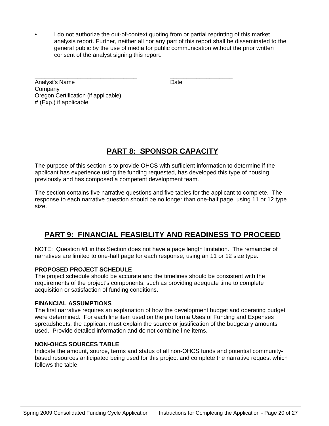• I do not authorize the out-of-context quoting from or partial reprinting of this market analysis report. Further, neither all nor any part of this report shall be disseminated to the general public by the use of media for public communication without the prior written consent of the analyst signing this report.

\_\_\_\_\_\_\_\_\_\_\_\_\_\_\_\_\_\_\_\_\_\_\_\_\_\_\_\_\_\_\_ \_\_\_\_\_\_\_\_\_\_\_\_\_\_\_\_\_\_\_ Analyst's Name Date **Company** Oregon Certification (if applicable) # (Exp.) if applicable

# **PART 8: SPONSOR CAPACITY**

The purpose of this section is to provide OHCS with sufficient information to determine if the applicant has experience using the funding requested, has developed this type of housing previously and has composed a competent development team.

The section contains five narrative questions and five tables for the applicant to complete. The response to each narrative question should be no longer than one-half page, using 11 or 12 type size.

# **PART 9: FINANCIAL FEASIBLITY AND READINESS TO PROCEED**

NOTE: Question #1 in this Section does not have a page length limitation. The remainder of narratives are limited to one-half page for each response, using an 11 or 12 size type.

# **PROPOSED PROJECT SCHEDULE**

The project schedule should be accurate and the timelines should be consistent with the requirements of the project's components, such as providing adequate time to complete acquisition or satisfaction of funding conditions.

# **FINANCIAL ASSUMPTIONS**

The first narrative requires an explanation of how the development budget and operating budget were determined. For each line item used on the pro forma Uses of Funding and Expenses spreadsheets, the applicant must explain the source or justification of the budgetary amounts used. Provide detailed information and do not combine line items.

# **NON-OHCS SOURCES TABLE**

Indicate the amount, source, terms and status of all non-OHCS funds and potential communitybased resources anticipated being used for this project and complete the narrative request which follows the table.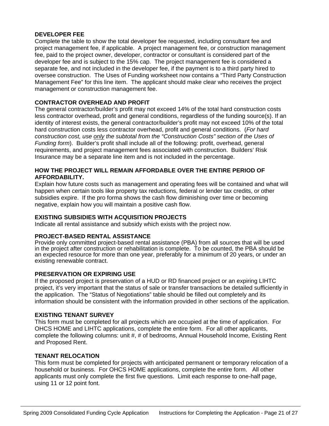# **DEVELOPER FEE**

Complete the table to show the total developer fee requested, including consultant fee and project management fee, if applicable. A project management fee, or construction management fee, paid to the project owner, developer, contractor or consultant is considered part of the developer fee and is subject to the 15% cap. The project management fee is considered a separate fee, and not included in the developer fee, if the payment is to a third party hired to oversee construction. The Uses of Funding worksheet now contains a "Third Party Construction Management Fee" for this line item. The applicant should make clear who receives the project management or construction management fee.

# **CONTRACTOR OVERHEAD AND PROFIT**

The general contractor/builder's profit may not exceed 14% of the total hard construction costs less contractor overhead, profit and general conditions, regardless of the funding source(s). If an identity of interest exists, the general contractor/builder's profit may not exceed 10% of the total hard construction costs less contractor overhead, profit and general conditions. (*For hard construction cost, use only the subtotal from the "Construction Costs" section of the Uses of Funding form*). Builder's profit shall include all of the following: profit, overhead, general requirements, and project management fees associated with construction. Builders' Risk Insurance may be a separate line item and is not included in the percentage.

# **HOW THE PROJECT WILL REMAIN AFFORDABLE OVER THE ENTIRE PERIOD OF AFFORDABILITY.**

Explain how future costs such as management and operating fees will be contained and what will happen when certain tools like property tax reductions, federal or lender tax credits, or other subsidies expire. If the pro forma shows the cash flow diminishing over time or becoming negative, explain how you will maintain a positive cash flow.

# **EXISTING SUBSIDIES WITH ACQUISITION PROJECTS**

Indicate all rental assistance and subsidy which exists with the project now.

# **PROJECT-BASED RENTAL ASSISTANCE**

Provide only committed project-based rental assistance (PBA) from all sources that will be used in the project after construction or rehabilitation is complete. To be counted, the PBA should be an expected resource for more than one year, preferably for a minimum of 20 years, or under an existing renewable contract.

# **PRESERVATION OR EXPIRING USE**

If the proposed project is preservation of a HUD or RD financed project or an expiring LIHTC project, it's very important that the status of sale or transfer transactions be detailed sufficiently in the application. The "Status of Negotiations" table should be filled out completely and its information should be consistent with the information provided in other sections of the application.

# **EXISTING TENANT SURVEY**

This form must be completed for all projects which are occupied at the time of application. For OHCS HOME and LIHTC applications, complete the entire form. For all other applicants, complete the following columns: unit #, # of bedrooms, Annual Household Income, Existing Rent and Proposed Rent.

# **TENANT RELOCATION**

This form must be completed for projects with anticipated permanent or temporary relocation of a household or business. For OHCS HOME applications, complete the entire form. All other applicants must only complete the first five questions. Limit each response to one-half page, using 11 or 12 point font.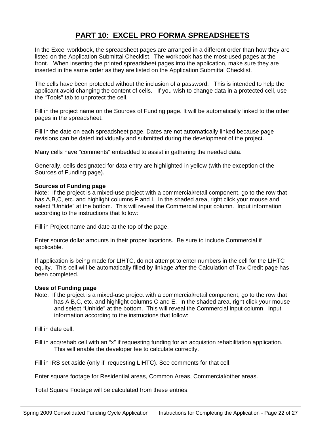# **PART 10: EXCEL PRO FORMA SPREADSHEETS**

In the Excel workbook, the spreadsheet pages are arranged in a different order than how they are listed on the Application Submittal Checklist. The workbook has the most-used pages at the front. When inserting the printed spreadsheet pages into the application, make sure they are inserted in the same order as they are listed on the Application Submittal Checklist.

The cells have been protected without the inclusion of a password. This is intended to help the applicant avoid changing the content of cells. If you wish to change data in a protected cell, use the "Tools" tab to unprotect the cell.

Fill in the project name on the Sources of Funding page. It will be automatically linked to the other pages in the spreadsheet.

Fill in the date on each spreadsheet page. Dates are not automatically linked because page revisions can be dated individually and submitted during the development of the project.

Many cells have "comments" embedded to assist in gathering the needed data.

Generally, cells designated for data entry are highlighted in yellow (with the exception of the Sources of Funding page).

#### **Sources of Funding page**

Note: If the project is a mixed-use project with a commercial/retail component, go to the row that has A, B, C, etc. and highlight columns F and I. In the shaded area, right click your mouse and select "Unhide" at the bottom. This will reveal the Commercial input column. Input information according to the instructions that follow:

Fill in Project name and date at the top of the page.

Enter source dollar amounts in their proper locations. Be sure to include Commercial if applicable.

If application is being made for LIHTC, do not attempt to enter numbers in the cell for the LIHTC equity. This cell will be automatically filled by linkage after the Calculation of Tax Credit page has been completed.

# **Uses of Funding page**

Note: If the project is a mixed-use project with a commercial/retail component, go to the row that has A,B,C, etc. and highlight columns C and E. In the shaded area, right click your mouse and select "Unhide" at the bottom. This will reveal the Commercial input column. Input information according to the instructions that follow:

Fill in date cell.

Fill in acq/rehab cell with an "x" if requesting funding for an acquistion rehabilitation application. This will enable the developer fee to calculate correctly.

Fill in IRS set aside (only if requesting LIHTC). See comments for that cell.

Enter square footage for Residential areas, Common Areas, Commercial/other areas.

Total Square Footage will be calculated from these entries.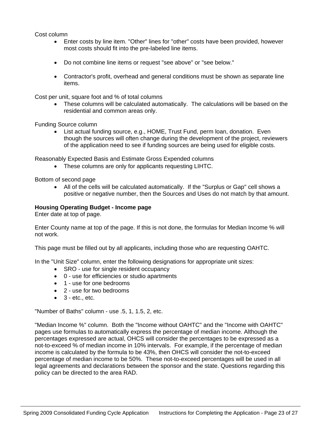Cost column

- Enter costs by line item. "Other" lines for "other" costs have been provided, however most costs should fit into the pre-labeled line items.
- Do not combine line items or request "see above" or "see below."
- Contractor's profit, overhead and general conditions must be shown as separate line items.

Cost per unit, square foot and % of total columns

• These columns will be calculated automatically. The calculations will be based on the residential and common areas only.

Funding Source column

• List actual funding source, e.g., HOME, Trust Fund, perm loan, donation. Even though the sources will often change during the development of the project, reviewers of the application need to see if funding sources are being used for eligible costs.

Reasonably Expected Basis and Estimate Gross Expended columns

• These columns are only for applicants requesting LIHTC.

Bottom of second page

• All of the cells will be calculated automatically. If the "Surplus or Gap" cell shows a positive or negative number, then the Sources and Uses do not match by that amount.

#### **Housing Operating Budget - Income page**

Enter date at top of page.

Enter County name at top of the page. If this is not done, the formulas for Median Income % will not work.

This page must be filled out by all applicants, including those who are requesting OAHTC.

In the "Unit Size" column, enter the following designations for appropriate unit sizes:

- SRO use for single resident occupancy
- 0 use for efficiencies or studio apartments
- 1 use for one bedrooms
- 2 use for two bedrooms
- $\bullet$  3 etc., etc.

"Number of Baths" column - use .5, 1, 1.5, 2, etc.

"Median Income %" column. Both the "Income without OAHTC" and the "Income with OAHTC" pages use formulas to automatically express the percentage of median income. Although the percentages expressed are actual, OHCS will consider the percentages to be expressed as a not-to-exceed % of median income in 10% intervals. For example, if the percentage of median income is calculated by the formula to be 43%, then OHCS will consider the not-to-exceed percentage of median income to be 50%. These not-to-exceed percentages will be used in all legal agreements and declarations between the sponsor and the state. Questions regarding this policy can be directed to the area RAD.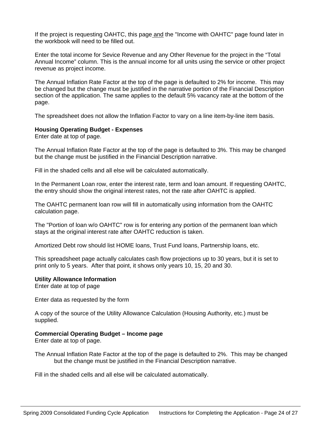If the project is requesting OAHTC, this page and the "Income with OAHTC" page found later in the workbook will need to be filled out.

Enter the total income for Sevice Revenue and any Other Revenue for the project in the "Total Annual Income" column. This is the annual income for all units using the service or other project revenue as project income.

The Annual Inflation Rate Factor at the top of the page is defaulted to 2% for income. This may be changed but the change must be justified in the narrative portion of the Financial Description section of the application. The same applies to the default 5% vacancy rate at the bottom of the page.

The spreadsheet does not allow the Inflation Factor to vary on a line item-by-line item basis.

# **Housing Operating Budget - Expenses**

Enter date at top of page.

The Annual Inflation Rate Factor at the top of the page is defaulted to 3%. This may be changed but the change must be justified in the Financial Description narrative.

Fill in the shaded cells and all else will be calculated automatically.

In the Permanent Loan row, enter the interest rate, term and loan amount. If requesting OAHTC, the entry should show the original interest rates, not the rate after OAHTC is applied.

The OAHTC permanent loan row will fill in automatically using information from the OAHTC calculation page.

The "Portion of loan w/o OAHTC" row is for entering any portion of the permanent loan which stays at the original interest rate after OAHTC reduction is taken.

Amortized Debt row should list HOME loans, Trust Fund loans, Partnership loans, etc.

This spreadsheet page actually calculates cash flow projections up to 30 years, but it is set to print only to 5 years. After that point, it shows only years 10, 15, 20 and 30.

#### **Utility Allowance Information**

Enter date at top of page

Enter data as requested by the form

A copy of the source of the Utility Allowance Calculation (Housing Authority, etc.) must be supplied.

# **Commercial Operating Budget – Income page**

Enter date at top of page.

The Annual Inflation Rate Factor at the top of the page is defaulted to 2%. This may be changed but the change must be justified in the Financial Description narrative.

Fill in the shaded cells and all else will be calculated automatically.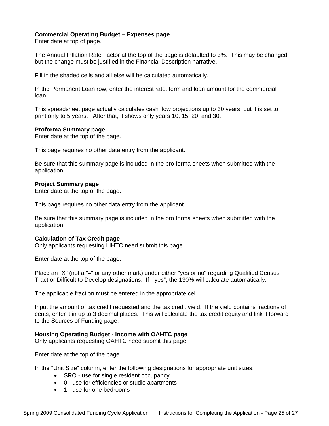# **Commercial Operating Budget – Expenses page**

Enter date at top of page.

The Annual Inflation Rate Factor at the top of the page is defaulted to 3%. This may be changed but the change must be justified in the Financial Description narrative.

Fill in the shaded cells and all else will be calculated automatically.

In the Permanent Loan row, enter the interest rate, term and loan amount for the commercial loan.

This spreadsheet page actually calculates cash flow projections up to 30 years, but it is set to print only to 5 years. After that, it shows only years 10, 15, 20, and 30.

#### **Proforma Summary page**

Enter date at the top of the page.

This page requires no other data entry from the applicant.

Be sure that this summary page is included in the pro forma sheets when submitted with the application.

#### **Project Summary page**

Enter date at the top of the page.

This page requires no other data entry from the applicant.

Be sure that this summary page is included in the pro forma sheets when submitted with the application.

#### **Calculation of Tax Credit page**

Only applicants requesting LIHTC need submit this page.

Enter date at the top of the page.

Place an "X" (not a "4" or any other mark) under either "yes or no" regarding Qualified Census Tract or Difficult to Develop designations. If "yes", the 130% will calculate automatically.

The applicable fraction must be entered in the appropriate cell.

Input the amount of tax credit requested and the tax credit yield. If the yield contains fractions of cents, enter it in up to 3 decimal places. This will calculate the tax credit equity and link it forward to the Sources of Funding page.

# **Housing Operating Budget - Income with OAHTC page**

Only applicants requesting OAHTC need submit this page.

Enter date at the top of the page.

In the "Unit Size" column, enter the following designations for appropriate unit sizes:

- SRO use for single resident occupancy
- 0 use for efficiencies or studio apartments
- 1 use for one bedrooms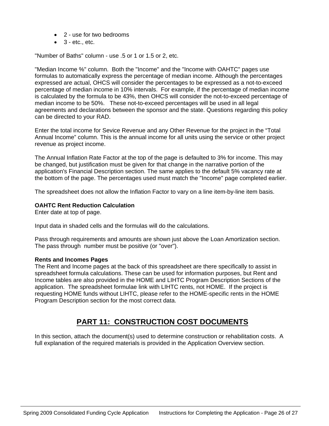- 2 use for two bedrooms
- $\bullet$  3 etc., etc.

"Number of Baths" column - use .5 or 1 or 1.5 or 2, etc.

"Median Income %" column. Both the "Income" and the "Income with OAHTC" pages use formulas to automatically express the percentage of median income. Although the percentages expressed are actual, OHCS will consider the percentages to be expressed as a not-to-exceed percentage of median income in 10% intervals. For example, if the percentage of median income is calculated by the formula to be 43%, then OHCS will consider the not-to-exceed percentage of median income to be 50%. These not-to-exceed percentages will be used in all legal agreements and declarations between the sponsor and the state. Questions regarding this policy can be directed to your RAD.

Enter the total income for Sevice Revenue and any Other Revenue for the project in the "Total Annual Income" column. This is the annual income for all units using the service or other project revenue as project income.

The Annual Inflation Rate Factor at the top of the page is defaulted to 3% for income. This may be changed, but justification must be given for that change in the narrative portion of the application's Financial Description section. The same applies to the default 5% vacancy rate at the bottom of the page. The percentages used must match the "Income" page completed earlier.

The spreadsheet does not allow the Inflation Factor to vary on a line item-by-line item basis.

#### **OAHTC Rent Reduction Calculation**

Enter date at top of page.

Input data in shaded cells and the formulas will do the calculations.

Pass through requirements and amounts are shown just above the Loan Amortization section. The pass through number must be positive (or "over").

#### **Rents and Incomes Pages**

The Rent and Income pages at the back of this spreadsheet are there specifically to assist in spreadsheet formula calculations. These can be used for information purposes, but Rent and Income tables are also provided in the HOME and LIHTC Program Description Sections of the application. The spreadsheet formulae link with LIHTC rents, not HOME. If the project is requesting HOME funds without LIHTC, please refer to the HOME-specific rents in the HOME Program Description section for the most correct data.

# **PART 11: CONSTRUCTION COST DOCUMENTS**

In this section, attach the document(s) used to determine construction or rehabilitation costs. A full explanation of the required materials is provided in the Application Overview section.